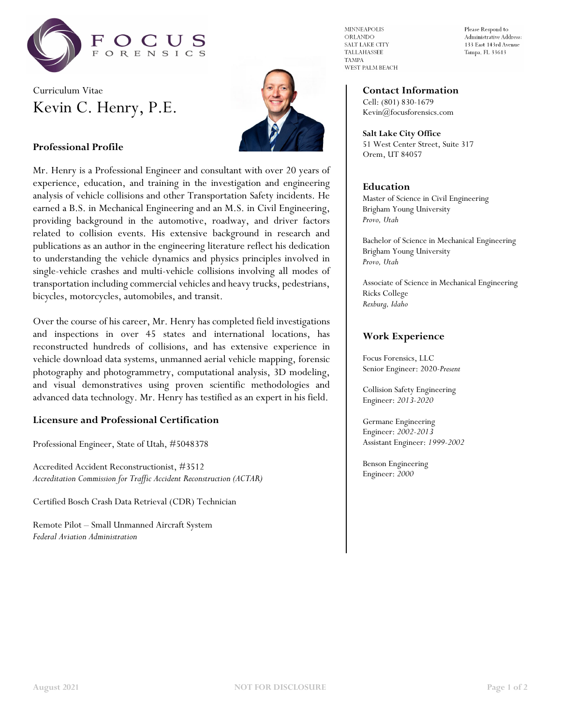

# Curriculum Vitae Kevin C. Henry, P.E.



### **Professional Profile**

Mr. Henry is a Professional Engineer and consultant with over 20 years of experience, education, and training in the investigation and engineering analysis of vehicle collisions and other Transportation Safety incidents. He earned a B.S. in Mechanical Engineering and an M.S. in Civil Engineering, providing background in the automotive, roadway, and driver factors related to collision events. His extensive background in research and publications as an author in the engineering literature reflect his dedication to understanding the vehicle dynamics and physics principles involved in single-vehicle crashes and multi-vehicle collisions involving all modes of transportation including commercial vehicles and heavy trucks, pedestrians, bicycles, motorcycles, automobiles, and transit.

Over the course of his career, Mr. Henry has completed field investigations and inspections in over 45 states and international locations, has reconstructed hundreds of collisions, and has extensive experience in vehicle download data systems, unmanned aerial vehicle mapping, forensic photography and photogrammetry, computational analysis, 3D modeling, and visual demonstratives using proven scientific methodologies and advanced data technology. Mr. Henry has testified as an expert in his field.

#### **Licensure and Professional Certification**

Professional Engineer, State of Utah, #5048378

Accredited Accident Reconstructionist, #3512 *Accreditation Commission for Traffic Accident Reconstruction (ACTAR)*

Certified Bosch Crash Data Retrieval (CDR) Technician

Remote Pilot – Small Unmanned Aircraft System *Federal Aviation Administration*

**MINNEAPOLIS** ORLANDO SALT LAKE CITY TALLAHASSEE **TAMPA** WEST PALM BEACH Please Respond to Administrative Address: 133 East 143rd Avenue Tampa, FL 33613

### **Contact Information**

Cell: (801) 830-1679 Kevin@focusforensics.com

**Salt Lake City Office** 51 West Center Street, Suite 317 Orem, UT 84057

#### **Education**

Master of Science in Civil Engineering Brigham Young University *Provo, Utah*

Bachelor of Science in Mechanical Engineering Brigham Young University *Provo, Utah*

Associate of Science in Mechanical Engineering Ricks College *Rexburg, Idaho*

#### **Work Experience**

Focus Forensics, LLC Senior Engineer: 2020-*Present*

Collision Safety Engineering Engineer: *2013-2020*

Germane Engineering Engineer: *2002-2013* Assistant Engineer: *1999-2002*

Benson Engineering Engineer: *2000*